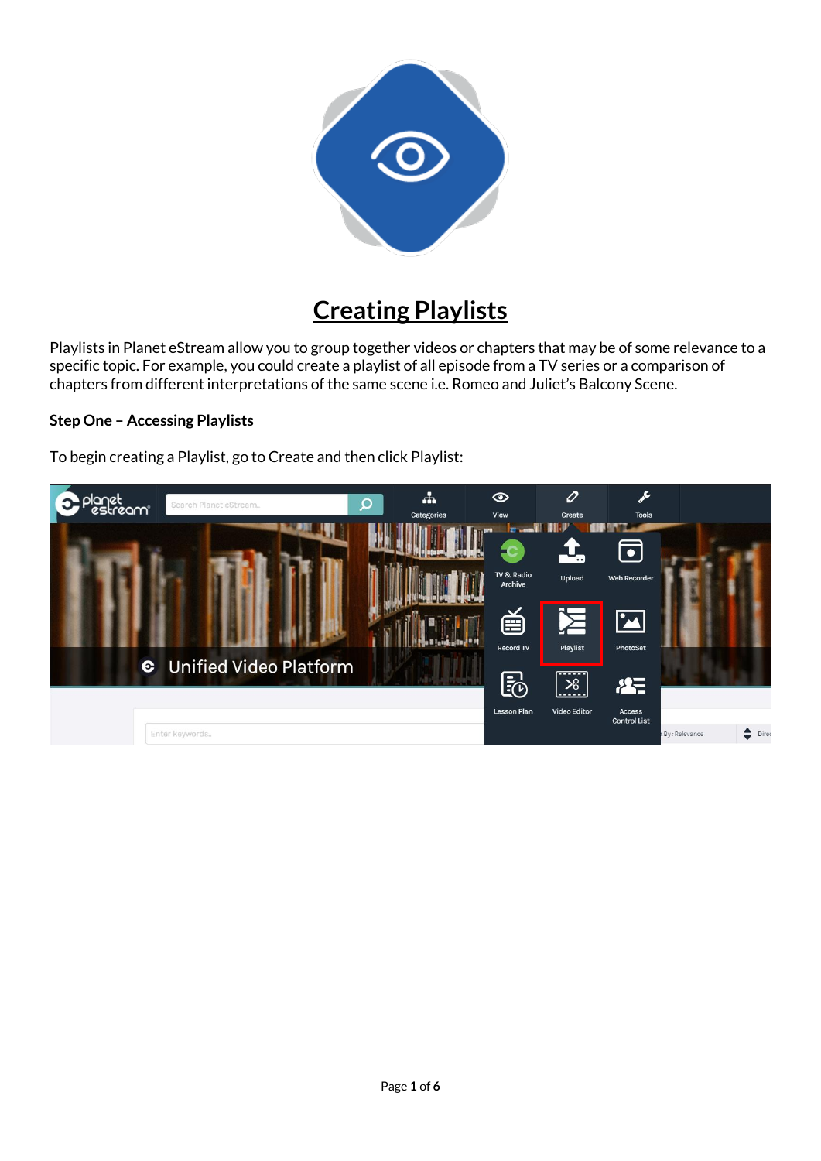

# **Creating Playlists**

Playlists in Planet eStream allow you to group together videos or chapters that may be of some relevance to a specific topic. For example, you could create a playlist of all episode from a TV series or a comparison of chapters from different interpretations of the same scene i.e. Romeo and Juliet's Balcony Scene.

## **Step One – Accessing Playlists**

To begin creating a Playlist, go to Create and then click Playlist:

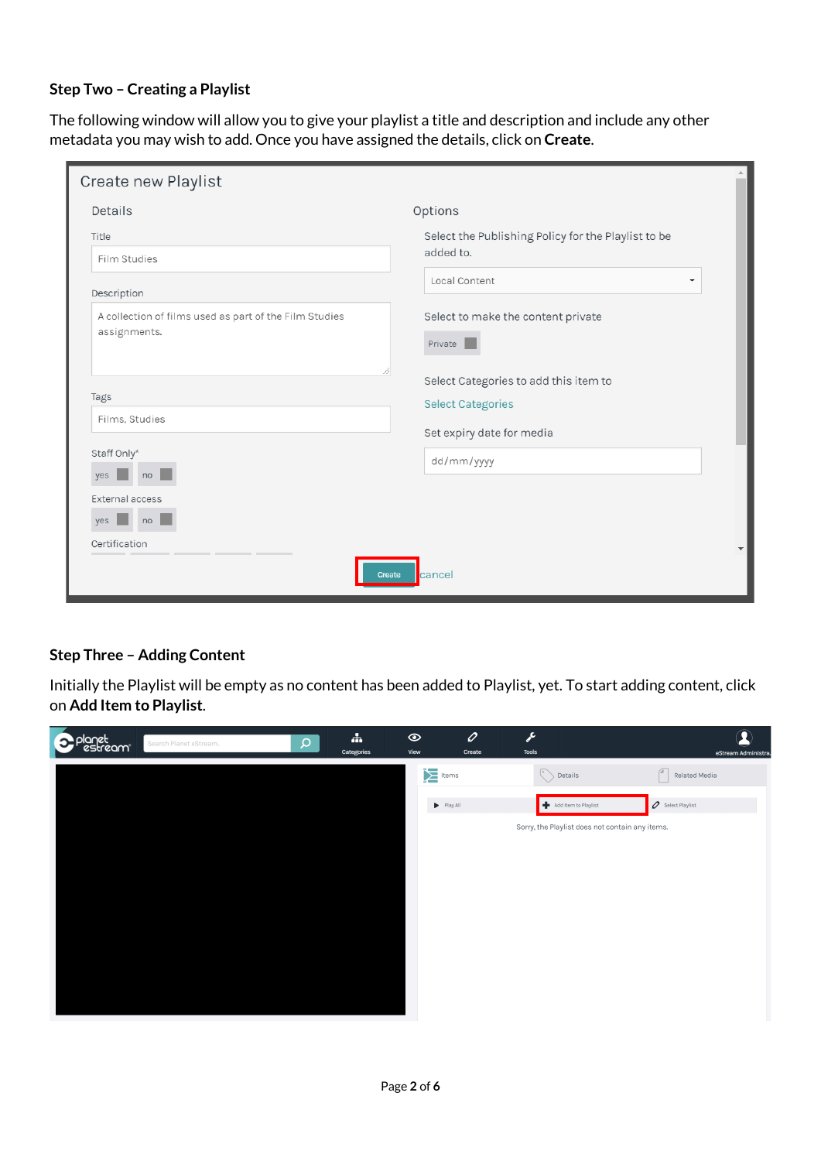## **Step Two – Creating a Playlist**

The following window will allow you to give your playlist a title and description and include any other metadata you may wish to add. Once you have assigned the details, click on **Create**.

| Create new Playlist                                    |                                                     |  |  |  |
|--------------------------------------------------------|-----------------------------------------------------|--|--|--|
| Details                                                | Options                                             |  |  |  |
| Title                                                  | Select the Publishing Policy for the Playlist to be |  |  |  |
| Film Studies                                           | added to.                                           |  |  |  |
| Description                                            | Local Content<br>٠                                  |  |  |  |
| A collection of films used as part of the Film Studies | Select to make the content private                  |  |  |  |
| assignments.                                           | Private                                             |  |  |  |
|                                                        | Select Categories to add this item to               |  |  |  |
| Tags                                                   | <b>Select Categories</b>                            |  |  |  |
| Films, Studies                                         | Set expiry date for media                           |  |  |  |
| Staff Only*                                            | dd/mm/yyyy                                          |  |  |  |
| yes no                                                 |                                                     |  |  |  |
| External access                                        |                                                     |  |  |  |
| yes no                                                 |                                                     |  |  |  |
| Certification                                          |                                                     |  |  |  |
|                                                        | cancel<br>Create                                    |  |  |  |

#### **Step Three – Adding Content**

Initially the Playlist will be empty as no content has been added to Playlist, yet. To start adding content, click on **Add Item to Playlist**.

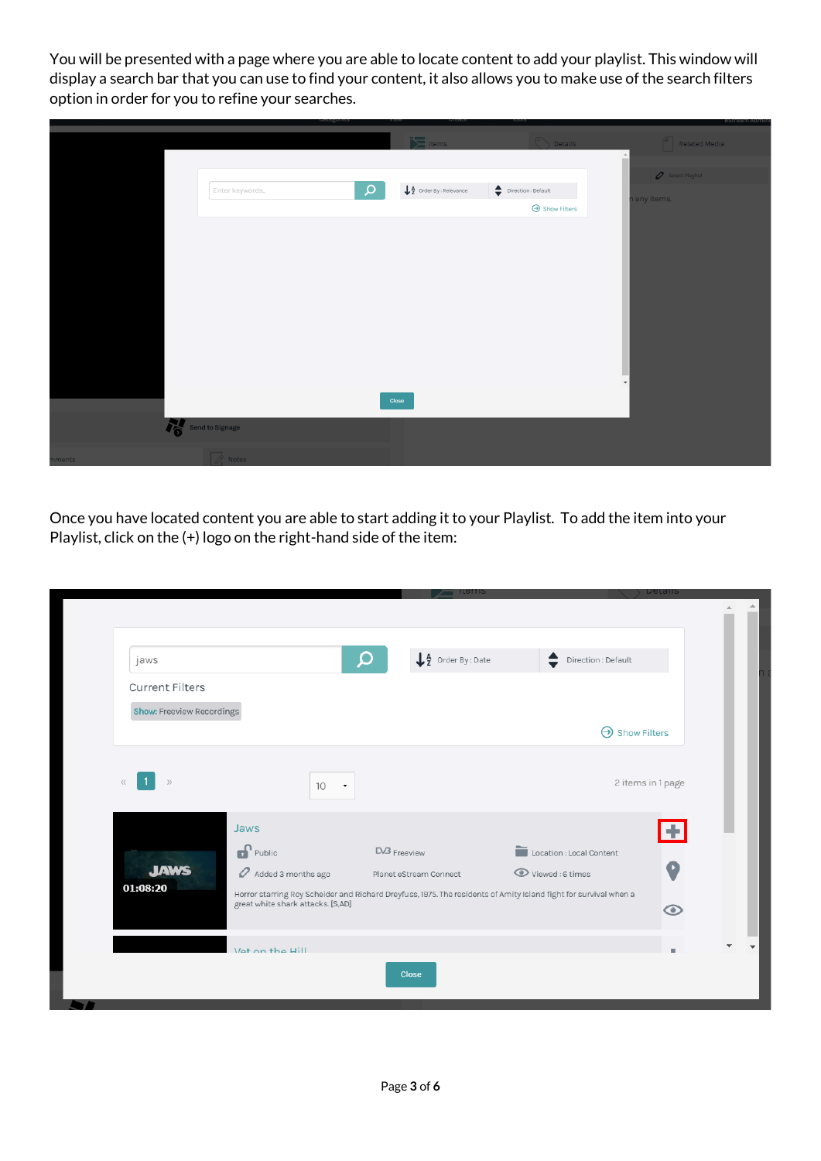You will be presented with a page where you are able to locate content to add your playlist. This window will display a search bar that you can use to find your content, it also allows you to make use of the search filters option in order for you to refine your searches.

|        |                 |                                                                       |                                                                                  | <b>COLLONIAL LIGHTIM</b>     |
|--------|-----------------|-----------------------------------------------------------------------|----------------------------------------------------------------------------------|------------------------------|
|        |                 | $\sum$ Items                                                          | Details                                                                          | Related Media                |
|        |                 |                                                                       |                                                                                  |                              |
|        |                 |                                                                       |                                                                                  | $\mathcal O$ Select Playlist |
|        | Enter keywords  | $\mathsf{Q}% _{T}$<br>$\downarrow$ $\frac{A}{Z}$ Order By : Relevance | $\begin{tabular}{ll} \quad \quad \text{Direction}: \text{Default} \end{tabular}$ | n any items.                 |
|        |                 |                                                                       | $\Theta$ Show Filters                                                            |                              |
|        |                 |                                                                       |                                                                                  |                              |
|        |                 |                                                                       |                                                                                  |                              |
|        |                 |                                                                       |                                                                                  |                              |
|        |                 |                                                                       |                                                                                  |                              |
|        |                 |                                                                       |                                                                                  |                              |
|        |                 |                                                                       |                                                                                  |                              |
|        |                 |                                                                       |                                                                                  |                              |
|        |                 |                                                                       |                                                                                  |                              |
|        |                 |                                                                       |                                                                                  |                              |
|        |                 |                                                                       |                                                                                  | $\mathbf{v}$                 |
|        |                 | Close                                                                 |                                                                                  |                              |
|        |                 |                                                                       |                                                                                  |                              |
|        | Send to Signage |                                                                       |                                                                                  |                              |
| nments | Notes           |                                                                       |                                                                                  |                              |

Once you have located content you are able to start adding it to your Playlist. To add the item into your Playlist, click on the (+) logo on the right-hand side of the item:

|                           |                                        | <u>rel 112</u>                                     |                                                                                                                  | <b>Detail</b>            |
|---------------------------|----------------------------------------|----------------------------------------------------|------------------------------------------------------------------------------------------------------------------|--------------------------|
|                           |                                        |                                                    |                                                                                                                  | ۸                        |
| jaws                      |                                        | $\downarrow$ $\frac{A}{2}$ Order By : Date<br>Q    | Direction : Default<br>€                                                                                         |                          |
| <b>Current Filters</b>    |                                        |                                                    |                                                                                                                  |                          |
| Show: Freeview Recordings |                                        |                                                    |                                                                                                                  |                          |
|                           |                                        |                                                    | $\Theta$ Show Filters                                                                                            |                          |
| $\rangle\rangle$<br>$\ll$ | 10<br>$\overline{\phantom{a}}$         |                                                    |                                                                                                                  | 2 items in 1 page        |
|                           | Jaws                                   |                                                    |                                                                                                                  |                          |
| <b>JAWS</b>               | $\bigcap$ Public<br>Added 3 months ago | D <sub>/3</sub> Freeview<br>Planet eStream Connect | Location : Local Content<br>Viewed: 6 times                                                                      |                          |
| 01:08:20                  | great white shark attacks. [S,AD]      |                                                    | Horror starring Roy Scheider and Richard Dreyfuss, 1975. The residents of Amity Island fight for survival when a | $\odot$                  |
|                           | Vot on the Hill                        |                                                    |                                                                                                                  | $\overline{\phantom{a}}$ |
|                           |                                        | <b>Close</b>                                       |                                                                                                                  |                          |
|                           |                                        |                                                    |                                                                                                                  |                          |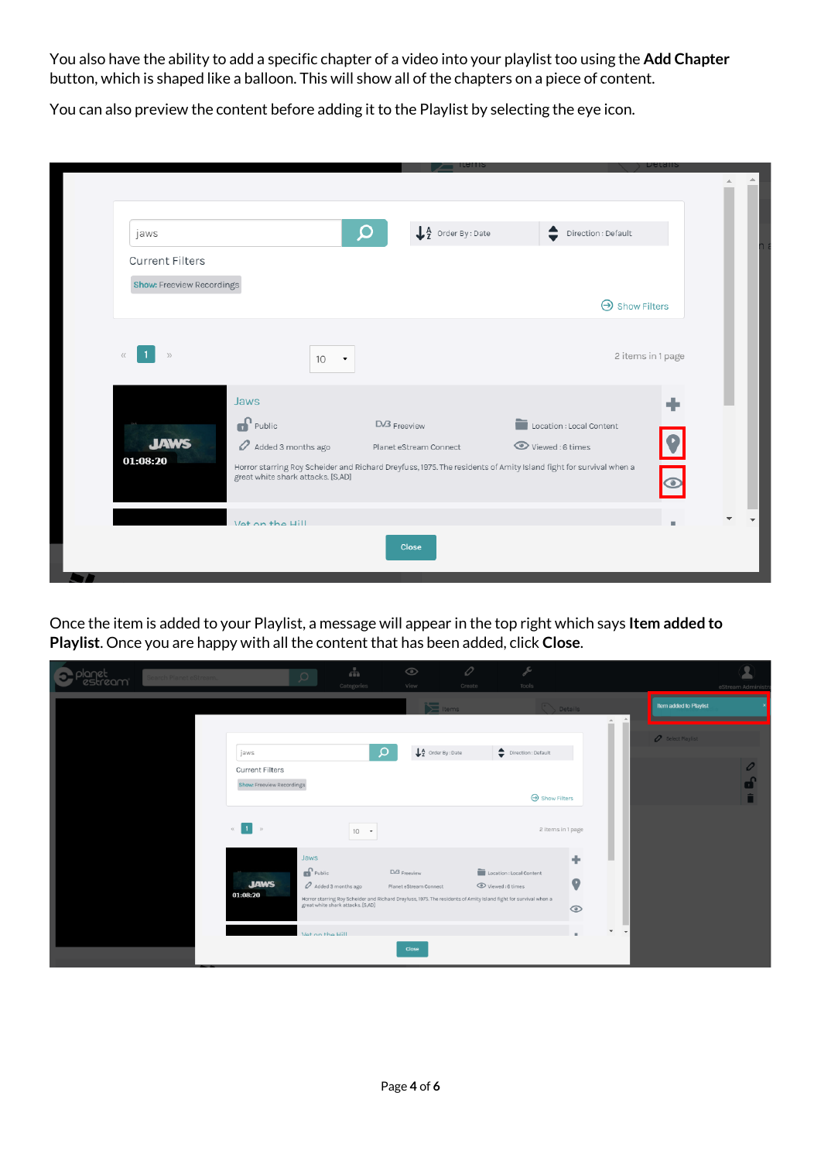You also have the ability to add a specific chapter of a video into your playlist too using the **Add Chapter** button, which is shaped like a balloon. This will show all of the chapters on a piece of content.

You can also preview the content before adding it to the Playlist by selecting the eye icon.

|                                       |                                     | <u>cenns</u>                                                                                                     |                          | Details              |
|---------------------------------------|-------------------------------------|------------------------------------------------------------------------------------------------------------------|--------------------------|----------------------|
|                                       |                                     |                                                                                                                  |                          |                      |
|                                       |                                     |                                                                                                                  |                          |                      |
| jaws                                  |                                     | $\downarrow$ $\frac{A}{2}$ Order By : Date<br>Q                                                                  | Direction : Default<br>≘ |                      |
| <b>Current Filters</b>                |                                     |                                                                                                                  |                          |                      |
| <b>Show: Freeview Recordings</b>      |                                     |                                                                                                                  |                          |                      |
|                                       |                                     |                                                                                                                  | Show Filters             |                      |
|                                       |                                     |                                                                                                                  |                          |                      |
| $\langle \langle$<br>$\rangle\rangle$ | 10<br>$\textcolor{red}{\textbf{v}}$ |                                                                                                                  | 2 items in 1 page        |                      |
|                                       |                                     |                                                                                                                  |                          |                      |
|                                       | Jaws                                |                                                                                                                  |                          |                      |
|                                       | $\mathbf{f}$ Public                 | D <sub>/3</sub> Freeview                                                                                         | Location : Local Content |                      |
| <b>JAWS</b>                           | Added 3 months ago                  | Planet eStream Connect                                                                                           | Viewed: 6 times          | $\overline{1}$       |
| 01:08:20                              | great white shark attacks. [S,AD]   | Horror starring Roy Scheider and Richard Dreyfuss, 1975. The residents of Amity Island fight for survival when a |                          | $\overline{\bullet}$ |
|                                       | Vot on the Hill                     |                                                                                                                  |                          |                      |
|                                       |                                     | <b>Close</b>                                                                                                     |                          |                      |
|                                       |                                     |                                                                                                                  |                          |                      |

Once the item is added to your Playlist, a message will appear in the top right which says **Item added to Playlist**. Once you are happy with all the content that has been added, click **Close**.

| tream" | Search Planet eStream |                           | $\frac{\pi}{\sin \theta}$<br>$\circ$<br>Categories | $\qquad \qquad \textcircled{\small \color{red} 2}$<br>View                                                       | 0<br>Create  | ىكە<br>Tools                                                          |                   |                              |                                                                                                                                                                                                                                                                | eStream Administr |
|--------|-----------------------|---------------------------|----------------------------------------------------|------------------------------------------------------------------------------------------------------------------|--------------|-----------------------------------------------------------------------|-------------------|------------------------------|----------------------------------------------------------------------------------------------------------------------------------------------------------------------------------------------------------------------------------------------------------------|-------------------|
|        |                       |                           |                                                    |                                                                                                                  | <b>Items</b> |                                                                       | <b>Details</b>    |                              | <u> The Common Second Common Second Common Second Common Second Common Second Common Second Common Second Common Second Common Second Common Second Common Second Common Second Common Second Common Second Common Second Common</u><br>Item added to Playlist |                   |
|        |                       |                           |                                                    |                                                                                                                  |              |                                                                       |                   | $\Delta$                     | Select Playlist                                                                                                                                                                                                                                                |                   |
|        |                       | jaws                      |                                                    | $\downarrow$ $\frac{A}{2}$ Order By : Date<br>$\alpha$                                                           |              | $\begin{tabular}{ll} \quad \textbf{Direction: Default} \end{tabular}$ |                   |                              |                                                                                                                                                                                                                                                                |                   |
|        |                       | <b>Current Filters</b>    |                                                    |                                                                                                                  |              |                                                                       |                   |                              |                                                                                                                                                                                                                                                                | 0                 |
|        |                       | Show: Freeview Recordings |                                                    |                                                                                                                  |              | Show Filters                                                          |                   |                              |                                                                                                                                                                                                                                                                |                   |
|        |                       |                           |                                                    |                                                                                                                  |              |                                                                       |                   |                              |                                                                                                                                                                                                                                                                |                   |
|        |                       | $\alpha$ 1                | 10                                                 | $\overline{\phantom{a}}$                                                                                         |              |                                                                       | 2 items in 1 page |                              |                                                                                                                                                                                                                                                                |                   |
|        |                       |                           | Jaws                                               |                                                                                                                  |              |                                                                       | ٠                 |                              |                                                                                                                                                                                                                                                                |                   |
|        |                       | <b>JAWS</b>               | $\mathbf{r}$ Public<br>Added 3 months ago          | $D/3$ Freeview<br>Planet eStream Connect                                                                         |              | Location : Local Content<br>Viewed: 6 times                           | 9                 |                              |                                                                                                                                                                                                                                                                |                   |
|        |                       | 01:08:20                  | great white shark attacks. [S,AD]                  | Horror starring Roy Scheider and Richard Dreyfuss, 1975. The residents of Amity Island fight for survival when a |              |                                                                       | $\odot$           |                              |                                                                                                                                                                                                                                                                |                   |
|        |                       |                           | Votion the Hill                                    |                                                                                                                  |              |                                                                       |                   | $\mathbf{v}$<br>$\mathbf{v}$ |                                                                                                                                                                                                                                                                |                   |
|        |                       |                           |                                                    | Close                                                                                                            |              |                                                                       |                   |                              |                                                                                                                                                                                                                                                                |                   |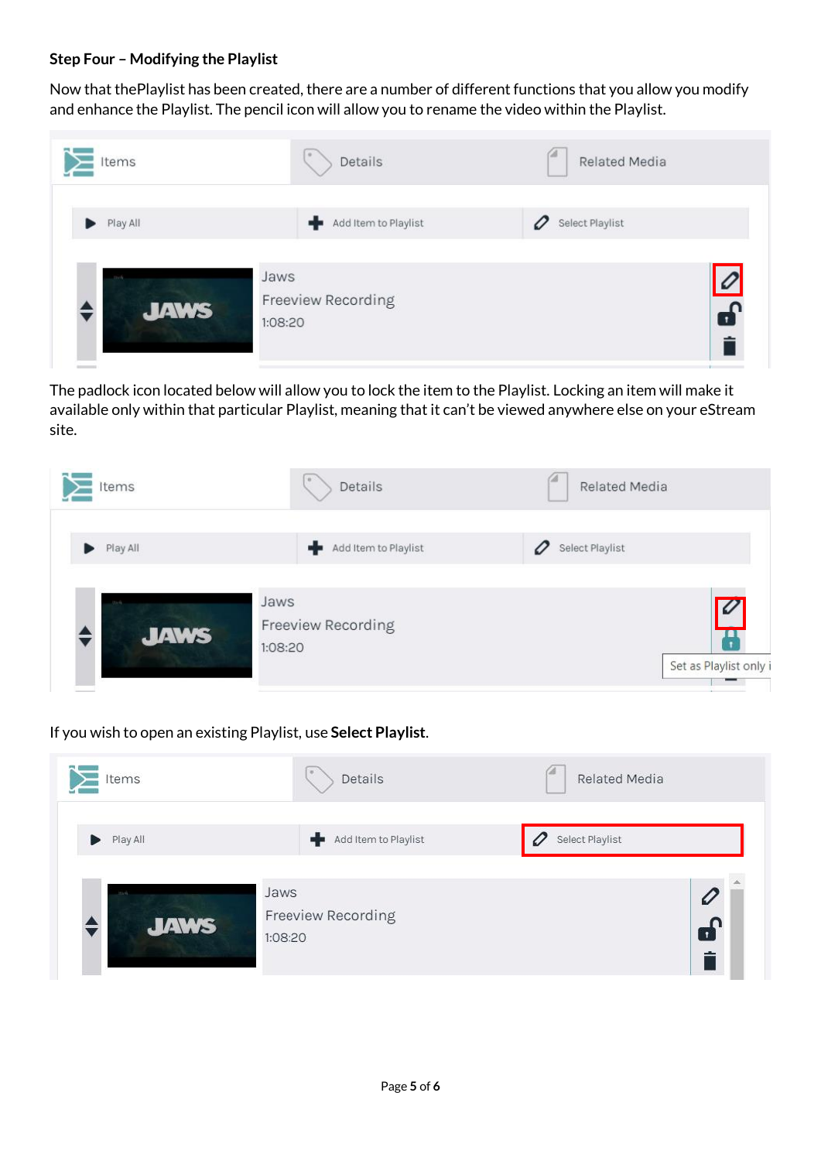#### **Step Four – Modifying the Playlist**

Now that thePlaylist has been created, there are a number of different functions that you allow you modify and enhance the Playlist. The pencil icon will allow you to rename the video within the Playlist.



The padlock icon located below will allow you to lock the item to the Playlist. Locking an item will make it available only within that particular Playlist, meaning that it can't be viewed anywhere else on your eStream site.



## If you wish to open an existing Playlist, use **Select Playlist**.

| Items                          | Details                               | Related Media   |
|--------------------------------|---------------------------------------|-----------------|
| $\blacktriangleright$ Play All | Add Item to Playlist<br>÷             | Select Playlist |
| 35,649<br><b>JAWS</b>          | Jaws<br>Freeview Recording<br>1:08:20 |                 |